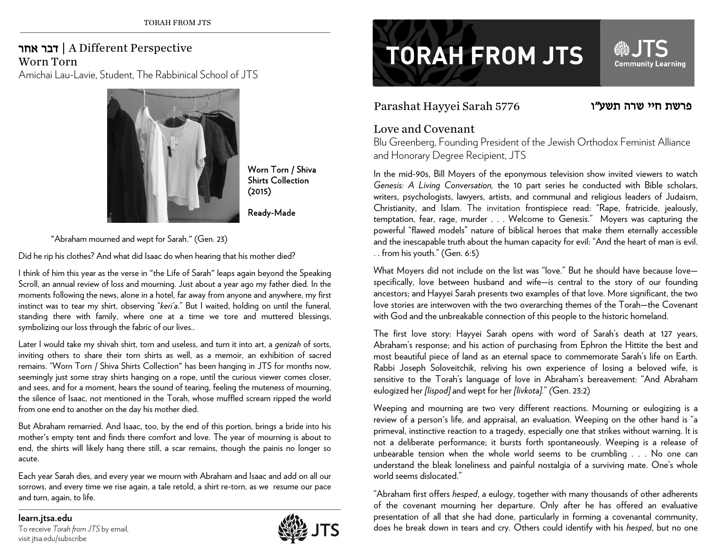## חר<sup>א</sup> דבר | A Different Perspective Worn Torn

Amichai Lau-Lavie, Student, The Rabbinical School of JTS



Worn Torn / Shiva Shirts Collection (2015)

Ready-Made

"Abraham mourned and wept for Sarah." (Gen. 23)

Did he rip his clothes? And what did Isaac do when hearing that his mother died?

I think of him this year as the verse in "the Life of Sarah" leaps again beyond the Speaking Scroll, an annual review of loss and mourning. Just about a year ago my father died. In the moments following the news, alone in a hotel, far away from anyone and anywhere, my first instinct was to tear my shirt, observing "*keri'a*." But I waited, holding on until the funeral, standing there with family, where one at a time we tore and muttered blessings, symbolizing our loss through the fabric of our lives..

Later I would take my shivah shirt, torn and useless, and turn it into art, a *genizah* of sorts, inviting others to share their torn shirts as well, as a memoir, an exhibition of sacred remains. "Worn Torn / Shiva Shirts Collection" has been hanging in JTS for months now, seemingly just some stray shirts hanging on a rope, until the curious viewer comes closer, and sees, and for a moment, hears the sound of tearing, feeling the muteness of mourning, the silence of Isaac, not mentioned in the Torah, whose muffled scream ripped the world from one end to another on the day his mother died.

But Abraham remarried. And Isaac, too, by the end of this portion, brings a bride into his mother's empty tent and finds there comfort and love. The year of mourning is about to end, the shirts will likely hang there still, a scar remains, though the painis no longer so acute.

Each year Sarah dies, and every year we mourn with Abraham and Isaac and add on all our sorrows, and every time we rise again, a tale retold, a shirt re-torn, as we resume our pace and turn, again, to life.

**learn.jtsa.edu**  To receive *Torah from JTS* by email, visit jtsa.edu/subscribe



# **TORAH FROM JTS**

## Parashat Hayyei Sarah 5776

### פרשת חיי שרה תשע"ו

**Community Learning** 

## Love and Covenant

Blu Greenberg, Founding President of the Jewish Orthodox Feminist Alliance and Honorary Degree Recipient, JTS

In the mid-90s, Bill Moyers of the eponymous television show invited viewers to watch *Genesis: A Living Conversation,* the 10 part series he conducted with Bible scholars, writers, psychologists, lawyers, artists, and communal and religious leaders of Judaism, Christianity, and Islam. The invitation frontispiece read: "Rape, fratricide, jealously, temptation, fear, rage, murder . . . Welcome to Genesis." Moyers was capturing the powerful "flawed models" nature of biblical heroes that make them eternally accessible and the inescapable truth about the human capacity for evil: "And the heart of man is evil. . . from his youth." (Gen. 6:5)

What Moyers did not include on the list was "love." But he should have because lovespecifically, love between husband and wife—is central to the story of our founding ancestors; and Hayyei Sarah presents two examples of that love. More significant, the two love stories are interwoven with the two overarching themes of the Torah—the Covenant with God and the unbreakable connection of this people to the historic homeland.

The first love story: Hayyei Sarah opens with word of Sarah's death at 127 years, Abraham's response; and his action of purchasing from Ephron the Hittite the best and most beautiful piece of land as an eternal space to commemorate Sarah's life on Earth. Rabbi Joseph Soloveitchik, reliving his own experience of losing a beloved wife, is sensitive to the Torah's language of love in Abraham's bereavement: "And Abraham eulogized her *[lispod]* and wept for her *[livkota].*" *(*Gen. 23:2)

Weeping and mourning are two very different reactions. Mourning or eulogizing is a review of a person's life, and appraisal, an evaluation. Weeping on the other hand is "a primeval, instinctive reaction to a tragedy, especially one that strikes without warning. It is not a deliberate performance; it bursts forth spontaneously. Weeping is a release of unbearable tension when the whole world seems to be crumbling . . . No one can understand the bleak loneliness and painful nostalgia of a surviving mate. One's whole world seems dislocated."

"Abraham first offers *hesped*, a eulogy, together with many thousands of other adherents of the covenant mourning her departure. Only after he has offered an evaluative presentation of all that she had done, particularly in forming a covenantal community, does he break down in tears and cry. Others could identify with his *hesped*, but no one